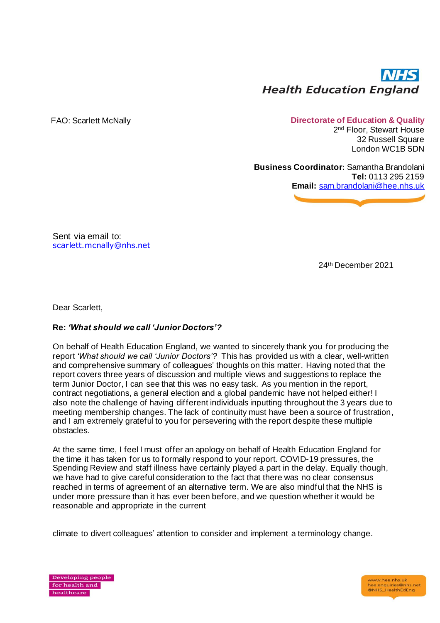

## FAO: Scarlett McNally **Directorate of Education & Quality**

2 nd Floor, Stewart House 32 Russell Square London WC1B 5DN

**Business Coordinator:** Samantha Brandolani **Tel:** 0113 295 2159 **Email:** [sam.brandolani@hee.nhs.uk](mailto:sam.brandolani@hee.nhs.ukt)

Sent via email to: [scarlett.mcnally@nhs.net](mailto:scarlett.mcnally@nhs.net)

24th December 2021

Dear Scarlett,

## **Re:** *'What should we call 'Junior Doctors'?*

On behalf of Health Education England, we wanted to sincerely thank you for producing the report *'What should we call 'Junior Doctors'?* This has provided us with a clear, well-written and comprehensive summary of colleagues' thoughts on this matter. Having noted that the report covers three years of discussion and multiple views and suggestions to replace the term Junior Doctor, I can see that this was no easy task. As you mention in the report, contract negotiations, a general election and a global pandemic have not helped either! I also note the challenge of having different individuals inputting throughout the 3 years due to meeting membership changes. The lack of continuity must have been a source of frustration, and I am extremely grateful to you for persevering with the report despite these multiple obstacles.

At the same time, I feel I must offer an apology on behalf of Health Education England for the time it has taken for us to formally respond to your report. COVID-19 pressures, the Spending Review and staff illness have certainly played a part in the delay. Equally though, we have had to give careful consideration to the fact that there was no clear consensus reached in terms of agreement of an alternative term. We are also mindful that the NHS is under more pressure than it has ever been before, and we question whether it would be reasonable and appropriate in the current

climate to divert colleagues' attention to consider and implement a terminology change.